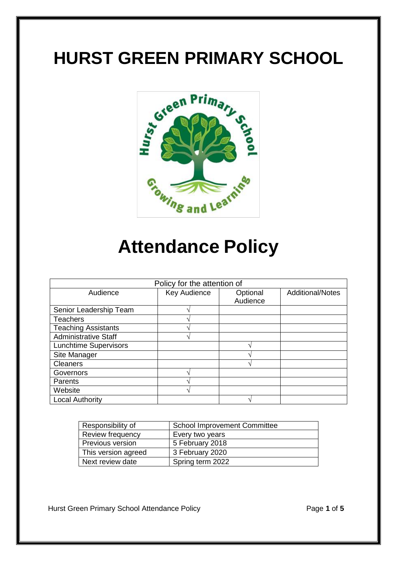# **HURST GREEN PRIMARY SCHOOL**



# **Attendance Policy**

| Policy for the attention of  |              |                      |                  |
|------------------------------|--------------|----------------------|------------------|
| Audience                     | Key Audience | Optional<br>Audience | Additional/Notes |
| Senior Leadership Team       |              |                      |                  |
| <b>Teachers</b>              |              |                      |                  |
| <b>Teaching Assistants</b>   |              |                      |                  |
| <b>Administrative Staff</b>  |              |                      |                  |
| <b>Lunchtime Supervisors</b> |              |                      |                  |
| Site Manager                 |              |                      |                  |
| <b>Cleaners</b>              |              |                      |                  |
| Governors                    |              |                      |                  |
| Parents                      |              |                      |                  |
| Website                      |              |                      |                  |
| <b>Local Authority</b>       |              |                      |                  |

| Responsibility of   | <b>School Improvement Committee</b> |
|---------------------|-------------------------------------|
| Review frequency    | Every two years                     |
| Previous version    | 5 February 2018                     |
| This version agreed | 3 February 2020                     |
| Next review date    | Spring term 2022                    |

Hurst Green Primary School Attendance Policy **Page 1** of 5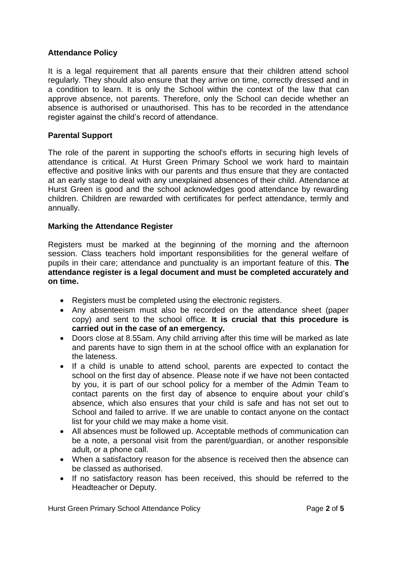# **Attendance Policy**

It is a legal requirement that all parents ensure that their children attend school regularly. They should also ensure that they arrive on time, correctly dressed and in a condition to learn. It is only the School within the context of the law that can approve absence, not parents. Therefore, only the School can decide whether an absence is authorised or unauthorised. This has to be recorded in the attendance register against the child's record of attendance.

# **Parental Support**

The role of the parent in supporting the school's efforts in securing high levels of attendance is critical. At Hurst Green Primary School we work hard to maintain effective and positive links with our parents and thus ensure that they are contacted at an early stage to deal with any unexplained absences of their child. Attendance at Hurst Green is good and the school acknowledges good attendance by rewarding children. Children are rewarded with certificates for perfect attendance, termly and annually.

### **Marking the Attendance Register**

Registers must be marked at the beginning of the morning and the afternoon session. Class teachers hold important responsibilities for the general welfare of pupils in their care; attendance and punctuality is an important feature of this. **The attendance register is a legal document and must be completed accurately and on time.**

- Registers must be completed using the electronic registers.
- Any absenteeism must also be recorded on the attendance sheet (paper copy) and sent to the school office. **It is crucial that this procedure is carried out in the case of an emergency.**
- Doors close at 8.55am. Any child arriving after this time will be marked as late and parents have to sign them in at the school office with an explanation for the lateness.
- If a child is unable to attend school, parents are expected to contact the school on the first day of absence. Please note if we have not been contacted by you, it is part of our school policy for a member of the Admin Team to contact parents on the first day of absence to enquire about your child's absence, which also ensures that your child is safe and has not set out to School and failed to arrive. If we are unable to contact anyone on the contact list for your child we may make a home visit.
- All absences must be followed up. Acceptable methods of communication can be a note, a personal visit from the parent/guardian, or another responsible adult, or a phone call.
- When a satisfactory reason for the absence is received then the absence can be classed as authorised.
- If no satisfactory reason has been received, this should be referred to the Headteacher or Deputy.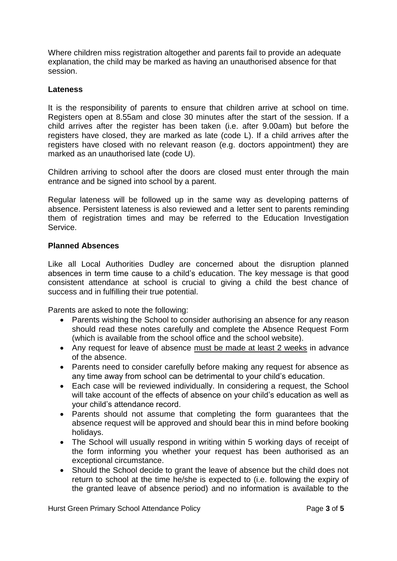Where children miss registration altogether and parents fail to provide an adequate explanation, the child may be marked as having an unauthorised absence for that session.

## **Lateness**

It is the responsibility of parents to ensure that children arrive at school on time. Registers open at 8.55am and close 30 minutes after the start of the session. If a child arrives after the register has been taken (i.e. after 9.00am) but before the registers have closed, they are marked as late (code L). If a child arrives after the registers have closed with no relevant reason (e.g. doctors appointment) they are marked as an unauthorised late (code U).

Children arriving to school after the doors are closed must enter through the main entrance and be signed into school by a parent.

Regular lateness will be followed up in the same way as developing patterns of absence. Persistent lateness is also reviewed and a letter sent to parents reminding them of registration times and may be referred to the Education Investigation Service.

# **Planned Absences**

Like all Local Authorities Dudley are concerned about the disruption planned absences in term time cause to a child's education. The key message is that good consistent attendance at school is crucial to giving a child the best chance of success and in fulfilling their true potential.

Parents are asked to note the following:

- Parents wishing the School to consider authorising an absence for any reason should read these notes carefully and complete the Absence Request Form (which is available from the school office and the school website).
- Any request for leave of absence must be made at least 2 weeks in advance of the absence.
- Parents need to consider carefully before making any request for absence as any time away from school can be detrimental to your child's education.
- Each case will be reviewed individually. In considering a request, the School will take account of the effects of absence on your child's education as well as your child's attendance record.
- Parents should not assume that completing the form guarantees that the absence request will be approved and should bear this in mind before booking holidays.
- The School will usually respond in writing within 5 working days of receipt of the form informing you whether your request has been authorised as an exceptional circumstance.
- Should the School decide to grant the leave of absence but the child does not return to school at the time he/she is expected to (i.e. following the expiry of the granted leave of absence period) and no information is available to the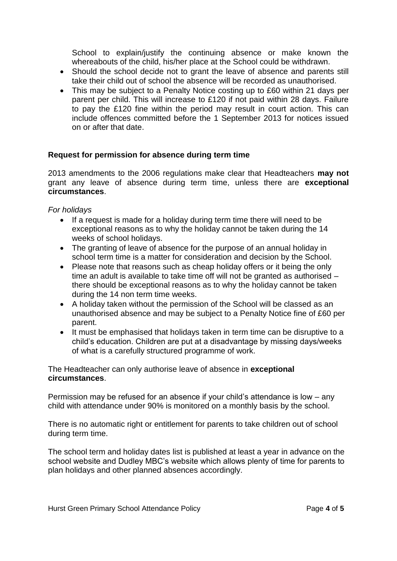School to explain/justify the continuing absence or make known the whereabouts of the child, his/her place at the School could be withdrawn.

- Should the school decide not to grant the leave of absence and parents still take their child out of school the absence will be recorded as unauthorised.
- This may be subject to a Penalty Notice costing up to £60 within 21 days per parent per child. This will increase to £120 if not paid within 28 days. Failure to pay the £120 fine within the period may result in court action. This can include offences committed before the 1 September 2013 for notices issued on or after that date.

### **Request for permission for absence during term time**

2013 amendments to the 2006 regulations make clear that Headteachers **may not** grant any leave of absence during term time, unless there are **exceptional circumstances**.

#### *For holidays*

- If a request is made for a holiday during term time there will need to be exceptional reasons as to why the holiday cannot be taken during the 14 weeks of school holidays.
- The granting of leave of absence for the purpose of an annual holiday in school term time is a matter for consideration and decision by the School.
- Please note that reasons such as cheap holiday offers or it being the only time an adult is available to take time off will not be granted as authorised – there should be exceptional reasons as to why the holiday cannot be taken during the 14 non term time weeks.
- A holiday taken without the permission of the School will be classed as an unauthorised absence and may be subject to a Penalty Notice fine of £60 per parent.
- It must be emphasised that holidays taken in term time can be disruptive to a child's education. Children are put at a disadvantage by missing days/weeks of what is a carefully structured programme of work.

The Headteacher can only authorise leave of absence in **exceptional circumstances**.

Permission may be refused for an absence if your child's attendance is low – any child with attendance under 90% is monitored on a monthly basis by the school.

There is no automatic right or entitlement for parents to take children out of school during term time.

The school term and holiday dates list is published at least a year in advance on the school website and Dudley MBC's website which allows plenty of time for parents to plan holidays and other planned absences accordingly.